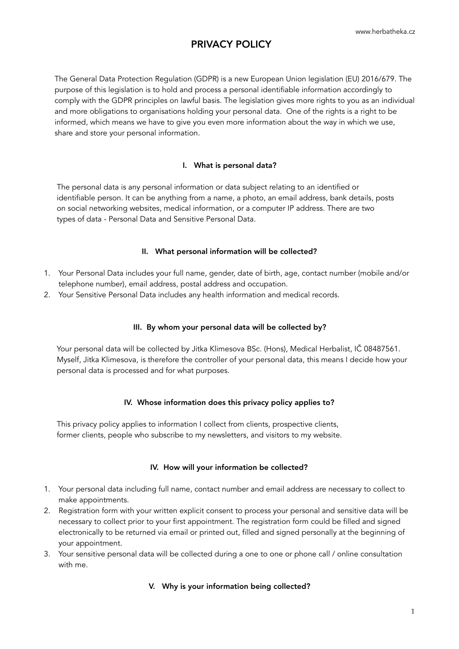The General Data Protection Regulation (GDPR) is a new European Union legislation (EU) 2016/679. The purpose of this legislation is to hold and process a personal identifiable information accordingly to comply with the GDPR principles on lawful basis. The legislation gives more rights to you as an individual and more obligations to organisations holding your personal data. One of the rights is a right to be informed, which means we have to give you even more information about the way in which we use, share and store your personal information.

# I. What is personal data?

 The personal data is any personal information or data subject relating to an identified or identifiable person. It can be anything from a name, a photo, an email address, bank details, posts on social networking websites, medical information, or a computer IP address. There are two types of data - Personal Data and Sensitive Personal Data.

### II. What personal information will be collected?

- 1. Your Personal Data includes your full name, gender, date of birth, age, contact number (mobile and/or telephone number), email address, postal address and occupation.
- 2. Your Sensitive Personal Data includes any health information and medical records.

# III. By whom your personal data will be collected by?

 Your personal data will be collected by Jitka Klimesova BSc. (Hons), Medical Herbalist, IČ 08487561. Myself, Jitka Klimesova, is therefore the controller of your personal data, this means I decide how your personal data is processed and for what purposes.

### IV. Whose information does this privacy policy applies to?

 This privacy policy applies to information I collect from clients, prospective clients, former clients, people who subscribe to my newsletters, and visitors to my website.

# IV. How will your information be collected?

- 1. Your personal data including full name, contact number and email address are necessary to collect to make appointments.
- 2. Registration form with your written explicit consent to process your personal and sensitive data will be necessary to collect prior to your first appointment. The registration form could be filled and signed electronically to be returned via email or printed out, filled and signed personally at the beginning of your appointment.
- 3. Your sensitive personal data will be collected during a one to one or phone call / online consultation with me.

# V. Why is your information being collected?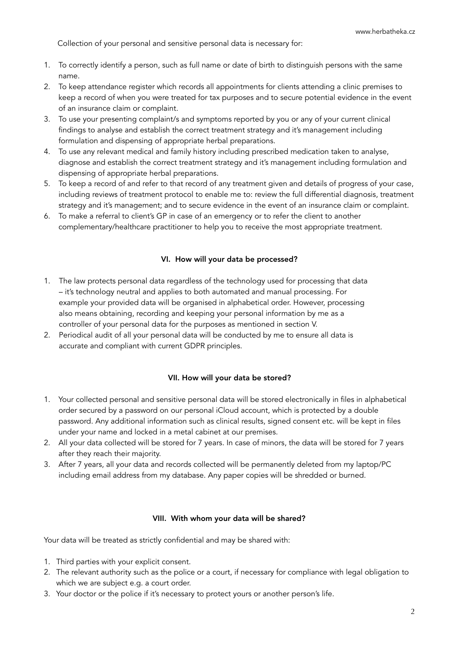Collection of your personal and sensitive personal data is necessary for:

- 1. To correctly identify a person, such as full name or date of birth to distinguish persons with the same name.
- 2. To keep attendance register which records all appointments for clients attending a clinic premises to keep a record of when you were treated for tax purposes and to secure potential evidence in the event of an insurance claim or complaint.
- 3. To use your presenting complaint/s and symptoms reported by you or any of your current clinical findings to analyse and establish the correct treatment strategy and it's management including formulation and dispensing of appropriate herbal preparations.
- 4. To use any relevant medical and family history including prescribed medication taken to analyse, diagnose and establish the correct treatment strategy and it's management including formulation and dispensing of appropriate herbal preparations.
- 5. To keep a record of and refer to that record of any treatment given and details of progress of your case, including reviews of treatment protocol to enable me to: review the full differential diagnosis, treatment strategy and it's management; and to secure evidence in the event of an insurance claim or complaint.
- 6. To make a referral to client's GP in case of an emergency or to refer the client to another complementary/healthcare practitioner to help you to receive the most appropriate treatment.

### VI. How will your data be processed?

- 1. The law protects personal data regardless of the technology used for processing that data – it's technology neutral and applies to both automated and manual processing. For example your provided data will be organised in alphabetical order. However, processing also means obtaining, recording and keeping your personal information by me as a controller of your personal data for the purposes as mentioned in section V.
- 2. Periodical audit of all your personal data will be conducted by me to ensure all data is accurate and compliant with current GDPR principles.

### VII. How will your data be stored?

- 1. Your collected personal and sensitive personal data will be stored electronically in files in alphabetical order secured by a password on our personal iCloud account, which is protected by a double password. Any additional information such as clinical results, signed consent etc. will be kept in files under your name and locked in a metal cabinet at our premises.
- 2. All your data collected will be stored for 7 years. In case of minors, the data will be stored for 7 years after they reach their majority.
- 3. After 7 years, all your data and records collected will be permanently deleted from my laptop/PC including email address from my database. Any paper copies will be shredded or burned.

#### VIII. With whom your data will be shared?

Your data will be treated as strictly confidential and may be shared with:

- 1. Third parties with your explicit consent.
- 2. The relevant authority such as the police or a court, if necessary for compliance with legal obligation to which we are subject e.g. a court order.
- 3. Your doctor or the police if it's necessary to protect yours or another person's life.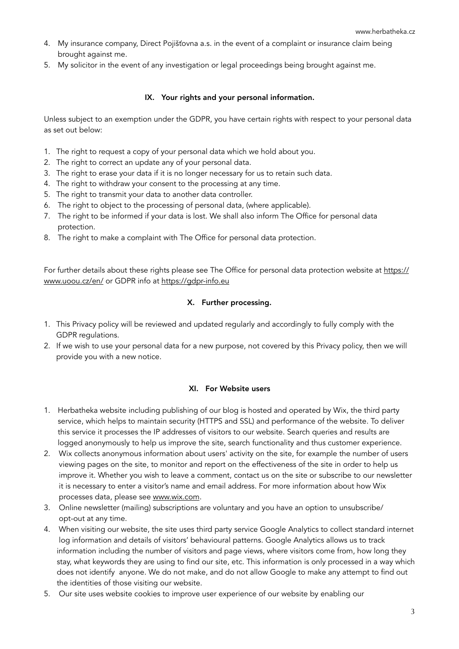- 4. My insurance company, Direct Pojišťovna a.s. in the event of a complaint or insurance claim being brought against me.
- 5. My solicitor in the event of any investigation or legal proceedings being brought against me.

## IX. Your rights and your personal information.

Unless subject to an exemption under the GDPR, you have certain rights with respect to your personal data as set out below:

- 1. The right to request a copy of your personal data which we hold about you.
- 2. The right to correct an update any of your personal data.
- 3. The right to erase your data if it is no longer necessary for us to retain such data.
- 4. The right to withdraw your consent to the processing at any time.
- 5. The right to transmit your data to another data controller.
- 6. The right to object to the processing of personal data, (where applicable).
- 7. The right to be informed if your data is lost. We shall also inform The Office for personal data protection.
- 8. The right to make a complaint with The Office for personal data protection.

For further details about these rights please see The Office for personal data protection website at [https://](https://www.uoou.cz/en/) [www.uoou.cz/en/](https://www.uoou.cz/en/) or GDPR info at https://gdpr-info.eu

### X. Further processing.

- 1. This Privacy policy will be reviewed and updated regularly and accordingly to fully comply with the GDPR regulations.
- 2. If we wish to use your personal data for a new purpose, not covered by this Privacy policy, then we will provide you with a new notice.

### XI. For Website users

- 1. Herbatheka website including publishing of our blog is hosted and operated by Wix, the third party service, which helps to maintain security (HTTPS and SSL) and performance of the website. To deliver this service it processes the IP addresses of visitors to our website. Search queries and results are logged anonymously to help us improve the site, search functionality and thus customer experience.
- 2. Wix collects anonymous information about users' activity on the site, for example the number of users viewing pages on the site, to monitor and report on the effectiveness of the site in order to help us improve it. Whether you wish to leave a comment, contact us on the site or subscribe to our newsletter it is necessary to enter a visitor's name and email address. For more information about how Wix processes data, please see [www.wix.com.](http://www.wix.com)
- 3. Online newsletter (mailing) subscriptions are voluntary and you have an option to unsubscribe/ opt-out at any time.
- 4. When visiting our website, the site uses third party service Google Analytics to collect standard internet log information and details of visitors' behavioural patterns. Google Analytics allows us to track information including the number of visitors and page views, where visitors come from, how long they stay, what keywords they are using to find our site, etc. This information is only processed in a way which does not identify anyone. We do not make, and do not allow Google to make any attempt to find out the identities of those visiting our website.
- 5. Our site uses website cookies to improve user experience of our website by enabling our